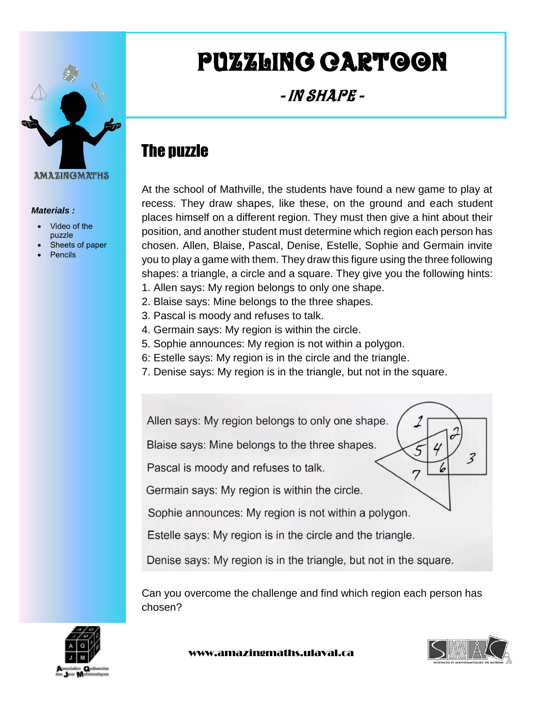

*Materials :*

 Video of the puzzle

Pencils

Sheets of paper

# Puzzling cartoon

- In Shape -

# The puzzle

At the school of Mathville, the students have found a new game to play at recess. They draw shapes, like these, on the ground and each student places himself on a different region. They must then give a hint about their position, and another student must determine which region each person has chosen. Allen, Blaise, Pascal, Denise, Estelle, Sophie and Germain invite you to play a game with them. They draw this figure using the three following shapes: a triangle, a circle and a square. They give you the following hints:

- 1. Allen says: My region belongs to only one shape.
- 2. Blaise says: Mine belongs to the three shapes.
- 3. Pascal is moody and refuses to talk.
- 4. Germain says: My region is within the circle.
- 5. Sophie announces: My region is not within a polygon.
- 6: Estelle says: My region is in the circle and the triangle.
- 7. Denise says: My region is in the triangle, but not in the square.



Estelle says: My region is in the circle and the triangle.

Denise says: My region is in the triangle, but not in the square.

Can you overcome the challenge and find which region each person has chosen?



www.amazingmaths.ulaval.ca

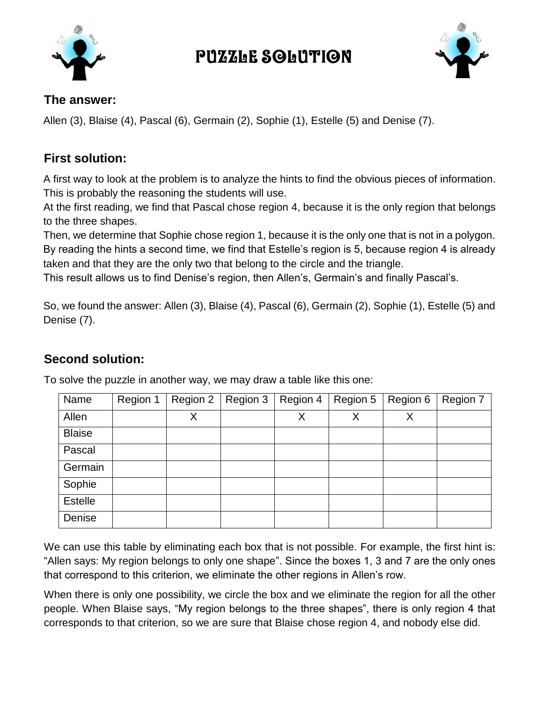

## Puzzle solution



#### **The answer:**

Allen (3), Blaise (4), Pascal (6), Germain (2), Sophie (1), Estelle (5) and Denise (7).

### **First solution:**

A first way to look at the problem is to analyze the hints to find the obvious pieces of information. This is probably the reasoning the students will use.

At the first reading, we find that Pascal chose region 4, because it is the only region that belongs to the three shapes.

Then, we determine that Sophie chose region 1, because it is the only one that is not in a polygon. By reading the hints a second time, we find that Estelle's region is 5, because region 4 is already taken and that they are the only two that belong to the circle and the triangle.

This result allows us to find Denise's region, then Allen's, Germain's and finally Pascal's.

So, we found the answer: Allen (3), Blaise (4), Pascal (6), Germain (2), Sophie (1), Estelle (5) and Denise (7).

## **Second solution:**

| Name           | Region 1 | Region 2 | Region 3 | Region 4 | Region 5 | Region 6 | Region 7 |
|----------------|----------|----------|----------|----------|----------|----------|----------|
| Allen          |          | Χ        |          | Χ        | X        | X        |          |
| <b>Blaise</b>  |          |          |          |          |          |          |          |
| Pascal         |          |          |          |          |          |          |          |
| Germain        |          |          |          |          |          |          |          |
| Sophie         |          |          |          |          |          |          |          |
| <b>Estelle</b> |          |          |          |          |          |          |          |
| Denise         |          |          |          |          |          |          |          |

To solve the puzzle in another way, we may draw a table like this one:

We can use this table by eliminating each box that is not possible. For example, the first hint is: "Allen says: My region belongs to only one shape". Since the boxes 1, 3 and 7 are the only ones that correspond to this criterion, we eliminate the other regions in Allen's row.

When there is only one possibility, we circle the box and we eliminate the region for all the other people. When Blaise says, "My region belongs to the three shapes", there is only region 4 that corresponds to that criterion, so we are sure that Blaise chose region 4, and nobody else did.